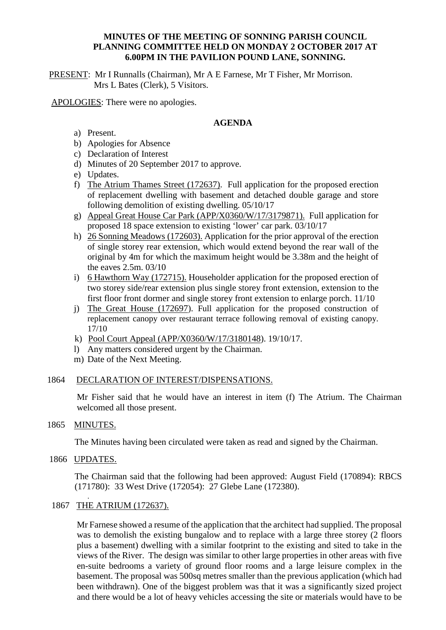## **MINUTES OF THE MEETING OF SONNING PARISH COUNCIL PLANNING COMMITTEE HELD ON MONDAY 2 OCTOBER 2017 AT 6.00PM IN THE PAVILION POUND LANE, SONNING.**

PRESENT: Mr I Runnalls (Chairman), Mr A E Farnese, Mr T Fisher, Mr Morrison. Mrs L Bates (Clerk), 5 Visitors.

APOLOGIES: There were no apologies.

## **AGENDA**

- a) Present.
- b) Apologies for Absence
- c) Declaration of Interest
- d) Minutes of 20 September 2017 to approve.
- e) Updates.
- f) The Atrium Thames Street (172637). Full application for the proposed erection of replacement dwelling with basement and detached double garage and store following demolition of existing dwelling. 05/10/17
- g) Appeal Great House Car Park (APP/X0360/W/17/3179871). Full application for proposed 18 space extension to existing 'lower' car park. 03/10/17
- h) 26 Sonning Meadows (172603). Application for the prior approval of the erection of single storey rear extension, which would extend beyond the rear wall of the original by 4m for which the maximum height would be 3.38m and the height of the eaves 2.5m. 03/10
- i) 6 Hawthorn Way (172715). Householder application for the proposed erection of two storey side/rear extension plus single storey front extension, extension to the first floor front dormer and single storey front extension to enlarge porch. 11/10
- j) The Great House (172697). Full application for the proposed construction of replacement canopy over restaurant terrace following removal of existing canopy. 17/10
- k) Pool Court Appeal (APP/X0360/W/17/3180148). 19/10/17.
- l) Any matters considered urgent by the Chairman.
- m) Date of the Next Meeting.

## 1864 DECLARATION OF INTEREST/DISPENSATIONS.

Mr Fisher said that he would have an interest in item (f) The Atrium. The Chairman welcomed all those present.

## 1865 MINUTES.

The Minutes having been circulated were taken as read and signed by the Chairman.

1866 UPDATES.

.

The Chairman said that the following had been approved: August Field (170894): RBCS (171780): 33 West Drive (172054): 27 Glebe Lane (172380).

## 1867 THE ATRIUM (172637).

Mr Farnese showed a resume of the application that the architect had supplied. The proposal was to demolish the existing bungalow and to replace with a large three storey (2 floors plus a basement) dwelling with a similar footprint to the existing and sited to take in the views of the River. The design was similar to other large properties in other areas with five en-suite bedrooms a variety of ground floor rooms and a large leisure complex in the basement. The proposal was 500sq metres smaller than the previous application (which had been withdrawn). One of the biggest problem was that it was a significantly sized project and there would be a lot of heavy vehicles accessing the site or materials would have to be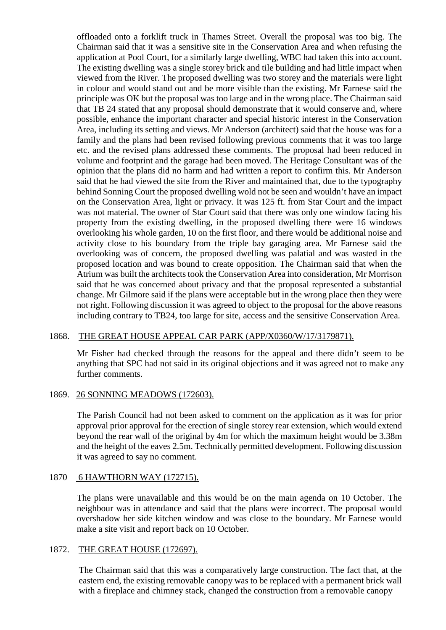offloaded onto a forklift truck in Thames Street. Overall the proposal was too big. The Chairman said that it was a sensitive site in the Conservation Area and when refusing the application at Pool Court, for a similarly large dwelling, WBC had taken this into account. The existing dwelling was a single storey brick and tile building and had little impact when viewed from the River. The proposed dwelling was two storey and the materials were light in colour and would stand out and be more visible than the existing. Mr Farnese said the principle was OK but the proposal was too large and in the wrong place. The Chairman said that TB 24 stated that any proposal should demonstrate that it would conserve and, where possible, enhance the important character and special historic interest in the Conservation Area, including its setting and views. Mr Anderson (architect) said that the house was for a family and the plans had been revised following previous comments that it was too large etc. and the revised plans addressed these comments. The proposal had been reduced in volume and footprint and the garage had been moved. The Heritage Consultant was of the opinion that the plans did no harm and had written a report to confirm this. Mr Anderson said that he had viewed the site from the River and maintained that, due to the typography behind Sonning Court the proposed dwelling wold not be seen and wouldn't have an impact on the Conservation Area, light or privacy. It was 125 ft. from Star Court and the impact was not material. The owner of Star Court said that there was only one window facing his property from the existing dwelling, in the proposed dwelling there were 16 windows overlooking his whole garden, 10 on the first floor, and there would be additional noise and activity close to his boundary from the triple bay garaging area. Mr Farnese said the overlooking was of concern, the proposed dwelling was palatial and was wasted in the proposed location and was bound to create opposition. The Chairman said that when the Atrium was built the architects took the Conservation Area into consideration, Mr Morrison said that he was concerned about privacy and that the proposal represented a substantial change. Mr Gilmore said if the plans were acceptable but in the wrong place then they were not right. Following discussion it was agreed to object to the proposal for the above reasons including contrary to TB24, too large for site, access and the sensitive Conservation Area.

## 1868. THE GREAT HOUSE APPEAL CAR PARK (APP/X0360/W/17/3179871).

Mr Fisher had checked through the reasons for the appeal and there didn't seem to be anything that SPC had not said in its original objections and it was agreed not to make any further comments.

#### 1869. 26 SONNING MEADOWS (172603).

The Parish Council had not been asked to comment on the application as it was for prior approval prior approval for the erection of single storey rear extension, which would extend beyond the rear wall of the original by 4m for which the maximum height would be 3.38m and the height of the eaves 2.5m. Technically permitted development. Following discussion it was agreed to say no comment.

## 1870 6 HAWTHORN WAY (172715).

The plans were unavailable and this would be on the main agenda on 10 October. The neighbour was in attendance and said that the plans were incorrect. The proposal would overshadow her side kitchen window and was close to the boundary. Mr Farnese would make a site visit and report back on 10 October.

### 1872. THE GREAT HOUSE (172697).

The Chairman said that this was a comparatively large construction. The fact that, at the eastern end, the existing removable canopy was to be replaced with a permanent brick wall with a fireplace and chimney stack, changed the construction from a removable canopy